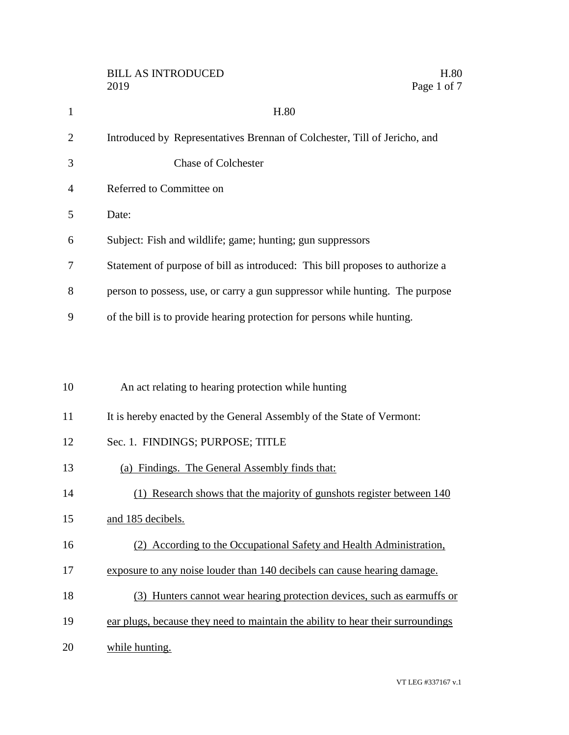|                | <b>BILL AS INTRODUCED</b><br>H.80<br>Page 1 of 7<br>2019                        |
|----------------|---------------------------------------------------------------------------------|
| $\mathbf{1}$   | H.80                                                                            |
| $\overline{2}$ | Introduced by Representatives Brennan of Colchester, Till of Jericho, and       |
| 3              | <b>Chase of Colchester</b>                                                      |
| $\overline{4}$ | Referred to Committee on                                                        |
| 5              | Date:                                                                           |
| 6              | Subject: Fish and wildlife; game; hunting; gun suppressors                      |
| 7              | Statement of purpose of bill as introduced: This bill proposes to authorize a   |
| 8              | person to possess, use, or carry a gun suppressor while hunting. The purpose    |
| 9              | of the bill is to provide hearing protection for persons while hunting.         |
|                |                                                                                 |
| 10             | An act relating to hearing protection while hunting                             |
| 11             | It is hereby enacted by the General Assembly of the State of Vermont:           |
| 12             | Sec. 1. FINDINGS; PURPOSE; TITLE                                                |
| 13             | (a) Findings. The General Assembly finds that:                                  |
| 14             | (1) Research shows that the majority of gunshots register between 140           |
| 15             | and 185 decibels.                                                               |
| 16             | (2) According to the Occupational Safety and Health Administration,             |
| 17             | exposure to any noise louder than 140 decibels can cause hearing damage.        |
| 18             | (3) Hunters cannot wear hearing protection devices, such as earmuffs or         |
| 19             | ear plugs, because they need to maintain the ability to hear their surroundings |
| 20             | while hunting.                                                                  |

VT LEG #337167 v.1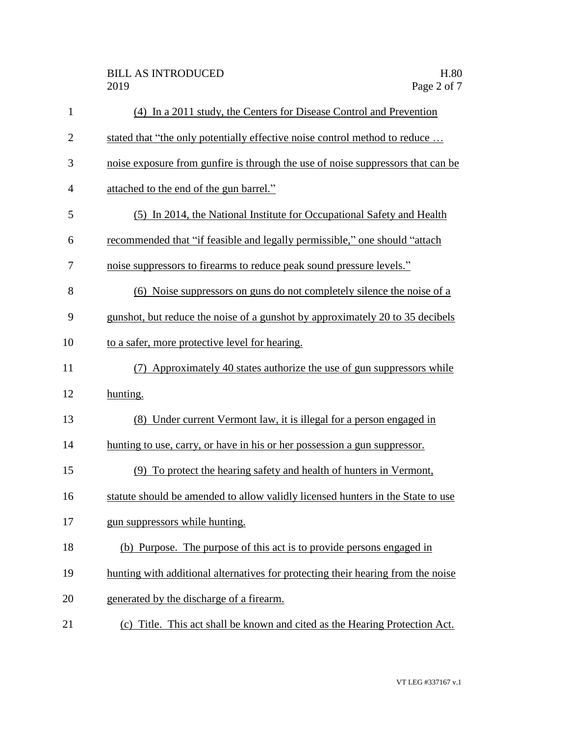| $\mathbf{1}$   | (4) In a 2011 study, the Centers for Disease Control and Prevention              |
|----------------|----------------------------------------------------------------------------------|
| $\overline{2}$ | stated that "the only potentially effective noise control method to reduce       |
| 3              | noise exposure from gunfire is through the use of noise suppressors that can be  |
| $\overline{4}$ | attached to the end of the gun barrel."                                          |
| 5              | (5) In 2014, the National Institute for Occupational Safety and Health           |
| 6              | recommended that "if feasible and legally permissible," one should "attach       |
| 7              | noise suppressors to firearms to reduce peak sound pressure levels."             |
| 8              | (6) Noise suppressors on guns do not completely silence the noise of a           |
| 9              | gunshot, but reduce the noise of a gunshot by approximately 20 to 35 decibels    |
| 10             | to a safer, more protective level for hearing.                                   |
| 11             | Approximately 40 states authorize the use of gun suppressors while<br>(7)        |
| 12             | hunting.                                                                         |
| 13             | (8) Under current Vermont law, it is illegal for a person engaged in             |
| 14             | hunting to use, carry, or have in his or her possession a gun suppressor.        |
| 15             | (9) To protect the hearing safety and health of hunters in Vermont,              |
| 16             | statute should be amended to allow validly licensed hunters in the State to use  |
| 17             | gun suppressors while hunting.                                                   |
| 18             | (b) Purpose. The purpose of this act is to provide persons engaged in            |
| 19             | hunting with additional alternatives for protecting their hearing from the noise |
| 20             | generated by the discharge of a firearm.                                         |
| 21             | (c) Title. This act shall be known and cited as the Hearing Protection Act.      |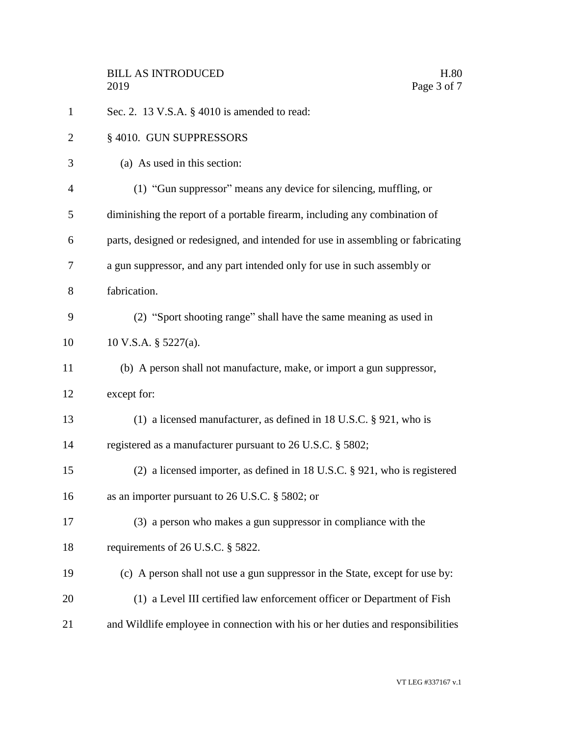| $\mathbf{1}$ | Sec. 2. 13 V.S.A. § 4010 is amended to read:                                     |
|--------------|----------------------------------------------------------------------------------|
| 2            | § 4010. GUN SUPPRESSORS                                                          |
| 3            | (a) As used in this section:                                                     |
| 4            | (1) "Gun suppressor" means any device for silencing, muffling, or                |
| 5            | diminishing the report of a portable firearm, including any combination of       |
| 6            | parts, designed or redesigned, and intended for use in assembling or fabricating |
| 7            | a gun suppressor, and any part intended only for use in such assembly or         |
| 8            | fabrication.                                                                     |
| 9            | (2) "Sport shooting range" shall have the same meaning as used in                |
| 10           | 10 V.S.A. $\S$ 5227(a).                                                          |
| 11           | (b) A person shall not manufacture, make, or import a gun suppressor,            |
| 12           | except for:                                                                      |
| 13           | (1) a licensed manufacturer, as defined in 18 U.S.C. $\S$ 921, who is            |
| 14           | registered as a manufacturer pursuant to 26 U.S.C. § 5802;                       |
| 15           | (2) a licensed importer, as defined in 18 U.S.C. $\S$ 921, who is registered     |
| 16           | as an importer pursuant to 26 U.S.C. § 5802; or                                  |
| 17           | (3) a person who makes a gun suppressor in compliance with the                   |
| 18           | requirements of 26 U.S.C. § 5822.                                                |
| 19           | (c) A person shall not use a gun suppressor in the State, except for use by:     |
| 20           | (1) a Level III certified law enforcement officer or Department of Fish          |
| 21           | and Wildlife employee in connection with his or her duties and responsibilities  |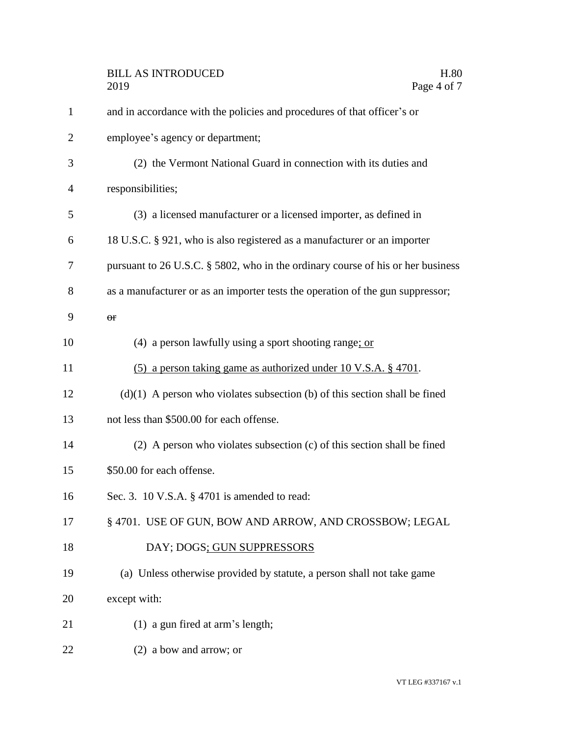| $\mathbf{1}$   | and in accordance with the policies and procedures of that officer's or         |
|----------------|---------------------------------------------------------------------------------|
| $\overline{2}$ | employee's agency or department;                                                |
| 3              | (2) the Vermont National Guard in connection with its duties and                |
| 4              | responsibilities;                                                               |
| 5              | (3) a licensed manufacturer or a licensed importer, as defined in               |
| 6              | 18 U.S.C. § 921, who is also registered as a manufacturer or an importer        |
| 7              | pursuant to 26 U.S.C. § 5802, who in the ordinary course of his or her business |
| 8              | as a manufacturer or as an importer tests the operation of the gun suppressor;  |
| 9              | $\Theta$ <b>f</b>                                                               |
| 10             | (4) a person lawfully using a sport shooting range; or                          |
| 11             | (5) a person taking game as authorized under 10 V.S.A. § 4701.                  |
| 12             | $(d)(1)$ A person who violates subsection (b) of this section shall be fined    |
| 13             | not less than \$500.00 for each offense.                                        |
| 14             | (2) A person who violates subsection (c) of this section shall be fined         |
| 15             | \$50.00 for each offense.                                                       |
| 16             | Sec. 3. 10 V.S.A. § 4701 is amended to read:                                    |
| 17             | § 4701. USE OF GUN, BOW AND ARROW, AND CROSSBOW; LEGAL                          |
| 18             | DAY; DOGS; GUN SUPPRESSORS                                                      |
| 19             | (a) Unless otherwise provided by statute, a person shall not take game          |
| 20             | except with:                                                                    |
| 21             | (1) a gun fired at arm's length;                                                |
| 22             | (2) a bow and arrow; or                                                         |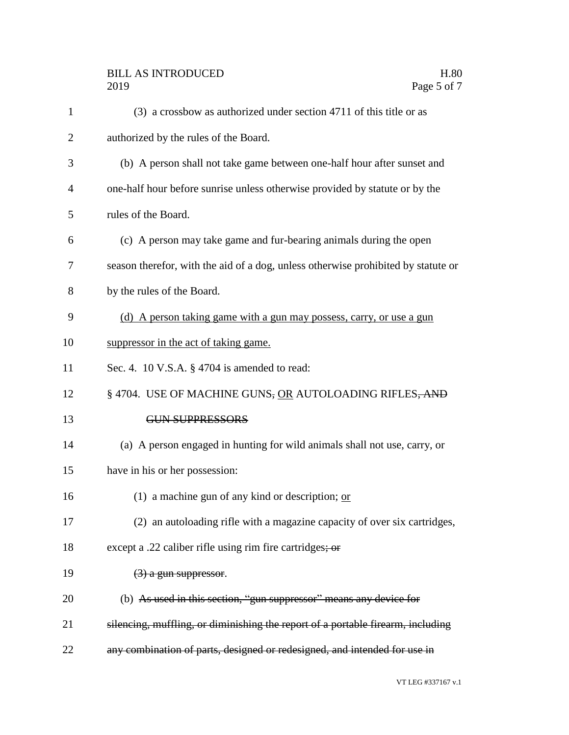| $\mathbf{1}$ | (3) a crossbow as authorized under section 4711 of this title or as               |
|--------------|-----------------------------------------------------------------------------------|
| 2            | authorized by the rules of the Board.                                             |
| 3            | (b) A person shall not take game between one-half hour after sunset and           |
| 4            | one-half hour before sunrise unless otherwise provided by statute or by the       |
| 5            | rules of the Board.                                                               |
| 6            | (c) A person may take game and fur-bearing animals during the open                |
| 7            | season therefor, with the aid of a dog, unless otherwise prohibited by statute or |
| 8            | by the rules of the Board.                                                        |
| 9            | (d) A person taking game with a gun may possess, carry, or use a gun              |
| 10           | suppressor in the act of taking game.                                             |
| 11           | Sec. 4. 10 V.S.A. $\S$ 4704 is amended to read:                                   |
| 12           | § 4704. USE OF MACHINE GUNS, OR AUTOLOADING RIFLES, AND                           |
| 13           | <b>GUN SUPPRESSORS</b>                                                            |
| 14           | (a) A person engaged in hunting for wild animals shall not use, carry, or         |
| 15           | have in his or her possession:                                                    |
| 16           | (1) a machine gun of any kind or description; $\alpha r$                          |
| 17           | (2) an autoloading rifle with a magazine capacity of over six cartridges,         |
| 18           | except a .22 caliber rifle using rim fire cartridges; or                          |
| 19           | $(3)$ a gun suppressor.                                                           |
| 20           | (b) As used in this section, "gun suppressor" means any device for                |
| 21           | silencing, muffling, or diminishing the report of a portable firearm, including   |
| 22           | any combination of parts, designed or redesigned, and intended for use in         |
|              |                                                                                   |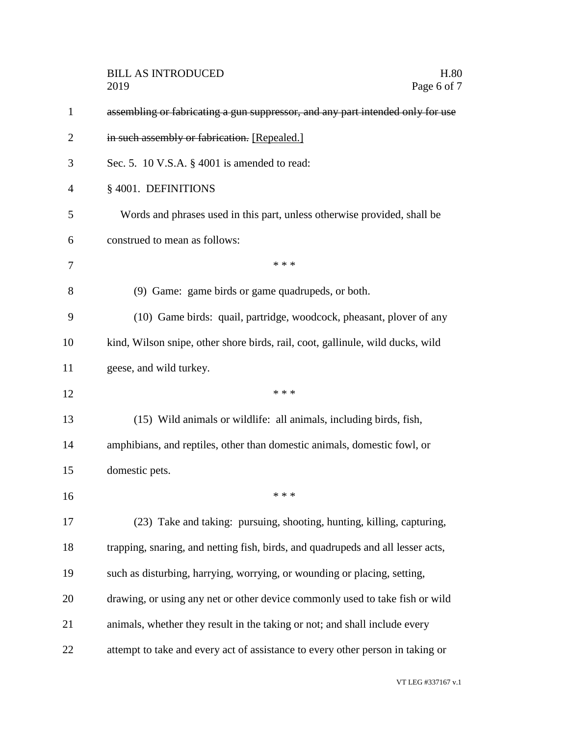|                | <b>BILL AS INTRODUCED</b><br>H.80<br>Page 6 of 7<br>2019                        |
|----------------|---------------------------------------------------------------------------------|
| $\mathbf{1}$   | assembling or fabricating a gun suppressor, and any part intended only for use  |
| $\overline{2}$ | in such assembly or fabrication. [Repealed.]                                    |
| 3              | Sec. 5. 10 V.S.A. $\S$ 4001 is amended to read:                                 |
| 4              | § 4001. DEFINITIONS                                                             |
| 5              | Words and phrases used in this part, unless otherwise provided, shall be        |
| 6              | construed to mean as follows:                                                   |
| 7              | * * *                                                                           |
| 8              | (9) Game: game birds or game quadrupeds, or both.                               |
| 9              | (10) Game birds: quail, partridge, woodcock, pheasant, plover of any            |
| 10             | kind, Wilson snipe, other shore birds, rail, coot, gallinule, wild ducks, wild  |
| 11             | geese, and wild turkey.                                                         |
| 12             | * * *                                                                           |
| 13             | (15) Wild animals or wildlife: all animals, including birds, fish,              |
| 14             | amphibians, and reptiles, other than domestic animals, domestic fowl, or        |
| 15             | domestic pets.                                                                  |
| 16             | * * *                                                                           |
| 17             | (23) Take and taking: pursuing, shooting, hunting, killing, capturing,          |
| 18             | trapping, snaring, and netting fish, birds, and quadrupeds and all lesser acts, |
| 19             | such as disturbing, harrying, worrying, or wounding or placing, setting,        |
| 20             | drawing, or using any net or other device commonly used to take fish or wild    |
| 21             | animals, whether they result in the taking or not; and shall include every      |
| 22             | attempt to take and every act of assistance to every other person in taking or  |

VT LEG #337167 v.1